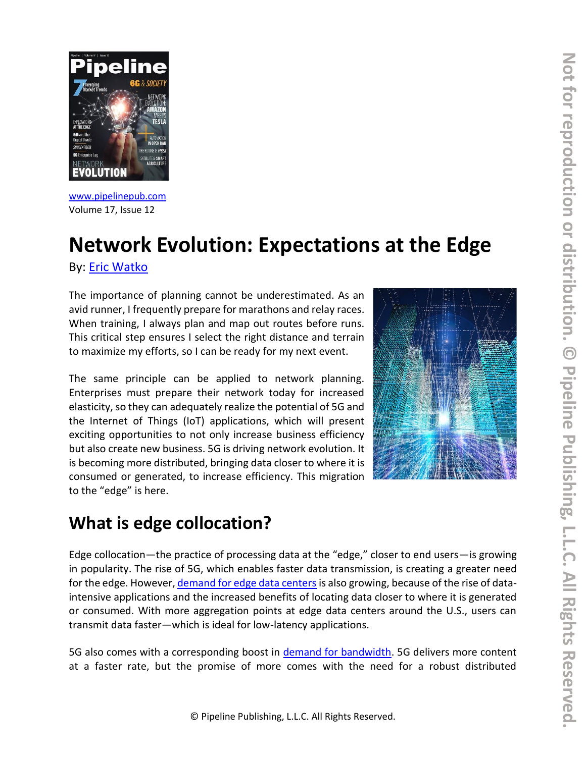

[www.pipelinepub.com](https://www.pipelinepub.com/246) Volume 17, Issue 12

# **Network Evolution: Expectations at the Edge**

By: [Eric Watko](https://www.pipelinepub.com/contributors#Eric-Watko)

The importance of planning cannot be underestimated. As an avid runner, I frequently prepare for marathons and relay races. When training, I always plan and map out routes before runs. This critical step ensures I select the right distance and terrain to maximize my efforts, so I can be ready for my next event.

The same principle can be applied to network planning. Enterprises must prepare their network today for increased elasticity, so they can adequately realize the potential of 5G and the Internet of Things (IoT) applications, which will present exciting opportunities to not only increase business efficiency but also create new business. 5G is driving network evolution. It is becoming more distributed, bringing data closer to where it is consumed or generated, to increase efficiency. This migration to the "edge" is here.



### **What is edge collocation?**

Edge collocation—the practice of processing data at the "edge," closer to end users—is growing in popularity. The rise of 5G, which enables faster data transmission, is creating a greater need for the edge. However[, demand for edge data centers](https://www.gminsights.com/industry-analysis/edge-data-center-market) is also growing, because of the rise of dataintensive applications and the increased benefits of locating data closer to where it is generated or consumed. With more aggregation points at edge data centers around the U.S., users can transmit data faster―which is ideal for low-latency applications.

5G also comes with a corresponding boost in [demand for bandwidth.](https://www.gminsights.com/industry-analysis/edge-data-center-market) 5G delivers more content at a faster rate, but the promise of more comes with the need for a robust distributed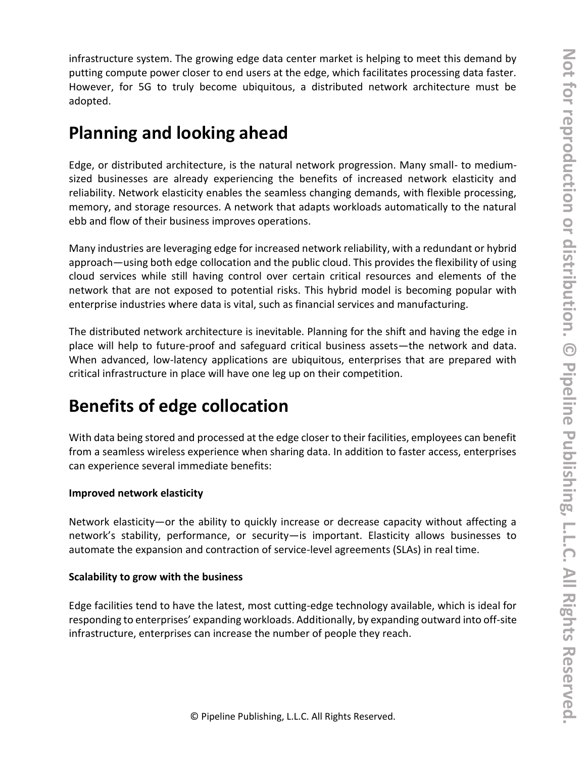infrastructure system. The growing edge data center market is helping to meet this demand by putting compute power closer to end users at the edge, which facilitates processing data faster. However, for 5G to truly become ubiquitous, a distributed network architecture must be adopted.

### **Planning and looking ahead**

Edge, or distributed architecture, is the natural network progression. Many small- to mediumsized businesses are already experiencing the benefits of increased network elasticity and reliability. Network elasticity enables the seamless changing demands, with flexible processing, memory, and storage resources. A network that adapts workloads automatically to the natural ebb and flow of their business improves operations.

Many industries are leveraging edge for increased network reliability, with a redundant or hybrid approach—using both edge collocation and the public cloud. This provides the flexibility of using cloud services while still having control over certain critical resources and elements of the network that are not exposed to potential risks. This hybrid model is becoming popular with enterprise industries where data is vital, such as financial services and manufacturing.

The distributed network architecture is inevitable. Planning for the shift and having the edge in place will help to future-proof and safeguard critical business assets—the network and data. When advanced, low-latency applications are ubiquitous, enterprises that are prepared with critical infrastructure in place will have one leg up on their competition.

# **Benefits of edge collocation**

With data being stored and processed at the edge closer to their facilities, employees can benefit from a seamless wireless experience when sharing data. In addition to faster access, enterprises can experience several immediate benefits:

#### **Improved network elasticity**

Network elasticity—or the ability to quickly increase or decrease capacity without affecting a network's stability, performance, or security—is important. Elasticity allows businesses to automate the expansion and contraction of service-level agreements (SLAs) in real time.

#### **Scalability to grow with the business**

Edge facilities tend to have the latest, most cutting-edge technology available, which is ideal for responding to enterprises' expanding workloads. Additionally, by expanding outward into off-site infrastructure, enterprises can increase the number of people they reach.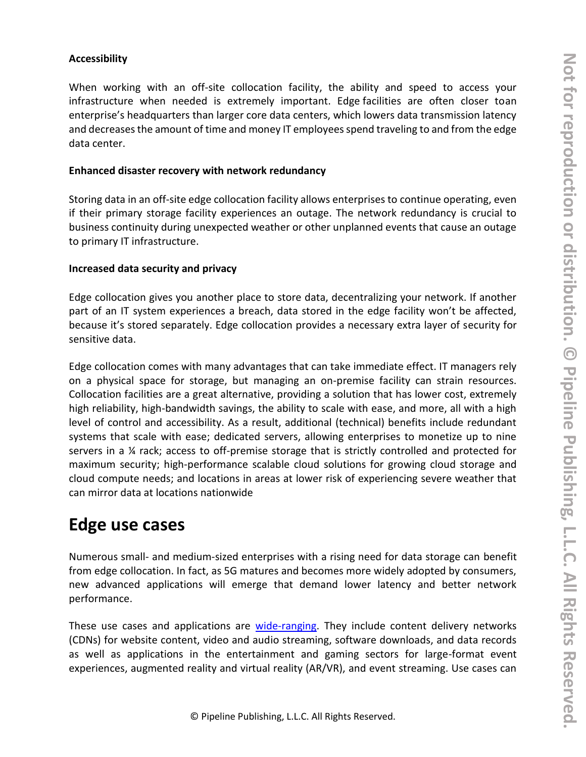#### **Accessibility**

When working with an off-site collocation facility, the ability and speed to access your infrastructure when needed is extremely important. Edge facilities are often closer toan enterprise's headquarters than larger core data centers, which lowers data transmission latency and decreases the amount of time and money IT employees spend traveling to and from the edge data center.

#### **Enhanced disaster recovery with network redundancy**

Storing data in an off-site edge collocation facility allows enterprises to continue operating, even if their primary storage facility experiences an outage. The network redundancy is crucial to business continuity during unexpected weather or other unplanned events that cause an outage to primary IT infrastructure.

#### **Increased data security and privacy**

Edge collocation gives you another place to store data, decentralizing your network. If another part of an IT system experiences a breach, data stored in the edge facility won't be affected, because it's stored separately. Edge collocation provides a necessary extra layer of security for sensitive data.

Edge collocation comes with many advantages that can take immediate effect. IT managers rely on a physical space for storage, but managing an on-premise facility can strain resources. Collocation facilities are a great alternative, providing a solution that has lower cost, extremely high reliability, high-bandwidth savings, the ability to scale with ease, and more, all with a high level of control and accessibility. As a result, additional (technical) benefits include redundant systems that scale with ease; dedicated servers, allowing enterprises to monetize up to nine servers in a ¼ rack; access to off-premise storage that is strictly controlled and protected for maximum security; high-performance scalable cloud solutions for growing cloud storage and cloud compute needs; and locations in areas at lower risk of experiencing severe weather that can mirror data at locations nationwide

### **Edge use cases**

Numerous small- and medium-sized enterprises with a rising need for data storage can benefit from edge collocation. In fact, as 5G matures and becomes more widely adopted by consumers, new advanced applications will emerge that demand lower latency and better network performance.

These use cases and applications are [wide-ranging.](https://searchcio.techtarget.com/feature/4-edge-computing-use-cases-delivering-value-in-the-enterprise) They include content delivery networks (CDNs) for website content, video and audio streaming, software downloads, and data records as well as applications in the entertainment and gaming sectors for large-format event experiences, augmented reality and virtual reality (AR/VR), and event streaming. Use cases can